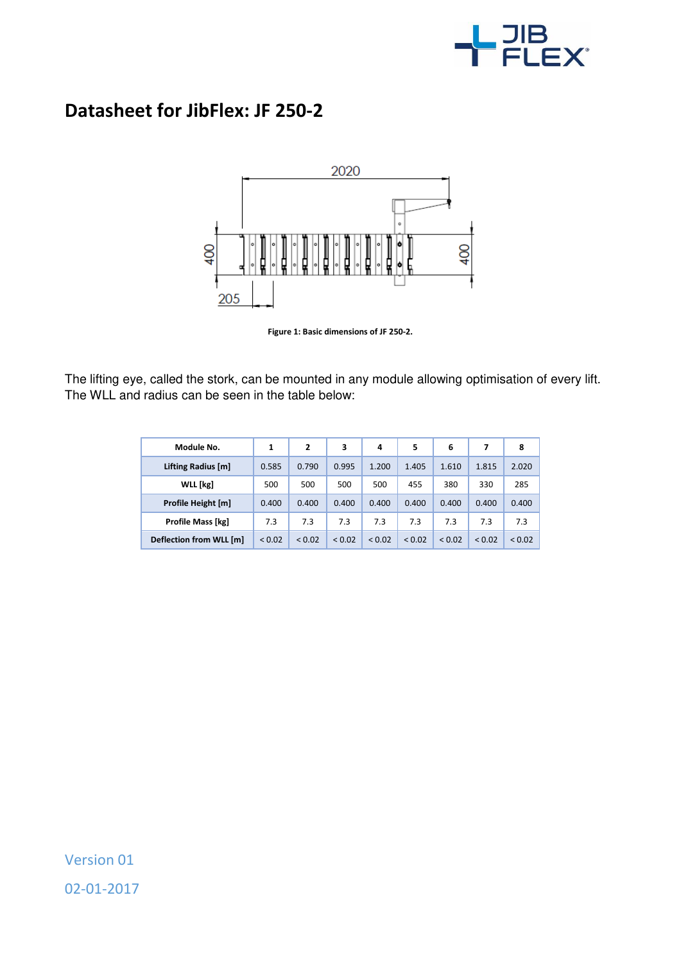

## **Datasheet for JibFlex: JF 250-2**



**Figure 1: Basic dimensions of JF 250-2.** 

The lifting eye, called the stork, can be mounted in any module allowing optimisation of every lift. The WLL and radius can be seen in the table below:

| Module No.              | 1      | 2      | 3           | 4           | 5           | 6           |             | 8      |
|-------------------------|--------|--------|-------------|-------------|-------------|-------------|-------------|--------|
| Lifting Radius [m]      | 0.585  | 0.790  | 0.995       | 1.200       | 1.405       | 1.610       | 1.815       | 2.020  |
| WLL [kg]                | 500    | 500    | 500         | 500         | 455         | 380         | 330         | 285    |
| Profile Height [m]      | 0.400  | 0.400  | 0.400       | 0.400       | 0.400       | 0.400       | 0.400       | 0.400  |
| Profile Mass [kg]       | 7.3    | 7.3    | 7.3         | 7.3         | 7.3         | 7.3         | 7.3         | 7.3    |
| Deflection from WLL [m] | < 0.02 | < 0.02 | ${}_{0.02}$ | ${}_{0.02}$ | ${}_{0.02}$ | ${}_{0.02}$ | ${}_{0.02}$ | < 0.02 |